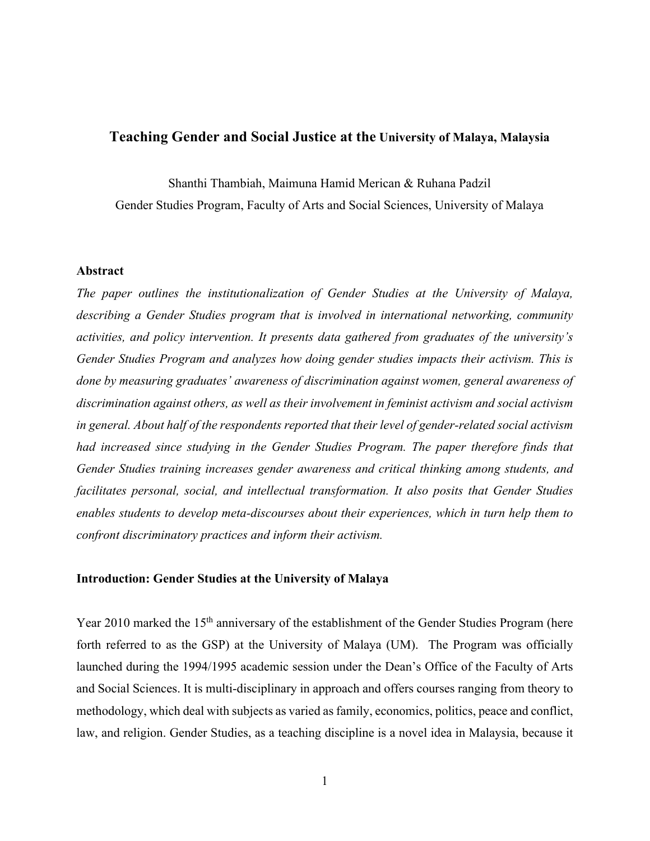# **Teaching Gender and Social Justice at the University of Malaya, Malaysia**

Shanthi Thambiah, Maimuna Hamid Merican & Ruhana Padzil

Gender Studies Program, Faculty of Arts and Social Sciences, University of Malaya

# **Abstract**

*The paper outlines the institutionalization of Gender Studies at the University of Malaya, describing a Gender Studies program that is involved in international networking, community activities, and policy intervention. It presents data gathered from graduates of the university's Gender Studies Program and analyzes how doing gender studies impacts their activism. This is done by measuring graduates' awareness of discrimination against women, general awareness of discrimination against others, as well as their involvement in feminist activism and social activism in general. About half of the respondents reported that their level of gender-related social activism had increased since studying in the Gender Studies Program. The paper therefore finds that Gender Studies training increases gender awareness and critical thinking among students, and facilitates personal, social, and intellectual transformation. It also posits that Gender Studies enables students to develop meta-discourses about their experiences, which in turn help them to confront discriminatory practices and inform their activism.* 

## **Introduction: Gender Studies at the University of Malaya**

Year 2010 marked the 15<sup>th</sup> anniversary of the establishment of the Gender Studies Program (here forth referred to as the GSP) at the University of Malaya (UM). The Program was officially launched during the 1994/1995 academic session under the Dean's Office of the Faculty of Arts and Social Sciences. It is multi-disciplinary in approach and offers courses ranging from theory to methodology, which deal with subjects as varied as family, economics, politics, peace and conflict, law, and religion. Gender Studies, as a teaching discipline is a novel idea in Malaysia, because it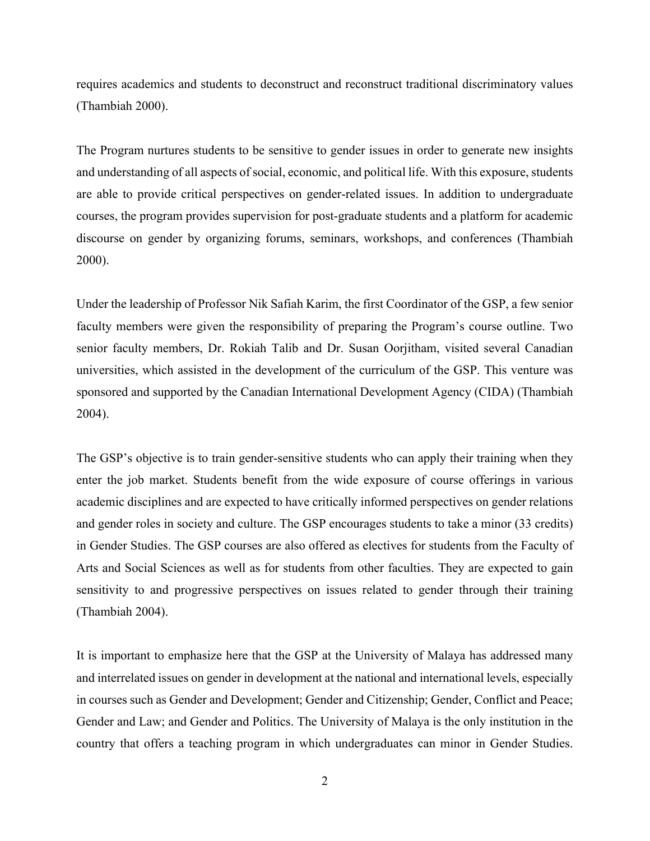requires academics and students to deconstruct and reconstruct traditional discriminatory values (Thambiah 2000).

The Program nurtures students to be sensitive to gender issues in order to generate new insights and understanding of all aspects of social, economic, and political life. With this exposure, students are able to provide critical perspectives on gender-related issues. In addition to undergraduate courses, the program provides supervision for post-graduate students and a platform for academic discourse on gender by organizing forums, seminars, workshops, and conferences (Thambiah 2000).

Under the leadership of Professor Nik Safiah Karim, the first Coordinator of the GSP, a few senior faculty members were given the responsibility of preparing the Program's course outline. Two senior faculty members, Dr. Rokiah Talib and Dr. Susan Oorjitham, visited several Canadian universities, which assisted in the development of the curriculum of the GSP. This venture was sponsored and supported by the Canadian International Development Agency (CIDA) (Thambiah 2004).

The GSP's objective is to train gender-sensitive students who can apply their training when they enter the job market. Students benefit from the wide exposure of course offerings in various academic disciplines and are expected to have critically informed perspectives on gender relations and gender roles in society and culture. The GSP encourages students to take a minor (33 credits) in Gender Studies. The GSP courses are also offered as electives for students from the Faculty of Arts and Social Sciences as well as for students from other faculties. They are expected to gain sensitivity to and progressive perspectives on issues related to gender through their training (Thambiah 2004).

It is important to emphasize here that the GSP at the University of Malaya has addressed many and interrelated issues on gender in development at the national and international levels, especially in courses such as Gender and Development; Gender and Citizenship; Gender, Conflict and Peace; Gender and Law; and Gender and Politics. The University of Malaya is the only institution in the country that offers a teaching program in which undergraduates can minor in Gender Studies.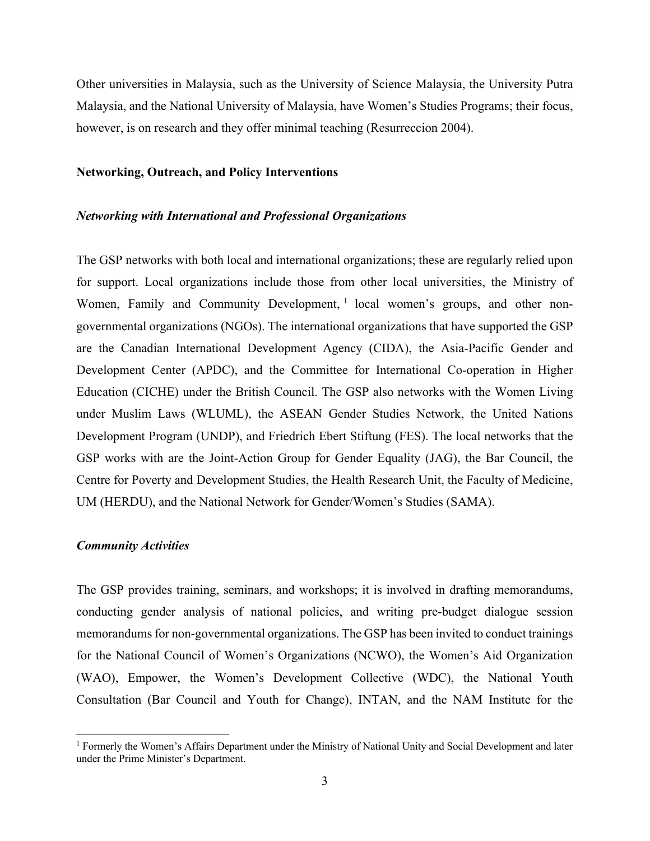Other universities in Malaysia, such as the University of Science Malaysia, the University Putra Malaysia, and the National University of Malaysia, have Women's Studies Programs; their focus, however, is on research and they offer minimal teaching (Resurreccion 2004).

### **Networking, Outreach, and Policy Interventions**

### *Networking with International and Professional Organizations*

The GSP networks with both local and international organizations; these are regularly relied upon for support. Local organizations include those from other local universities, the Ministry of Women, Family and Community Development, <sup>1</sup> local women's groups, and other nongovernmental organizations (NGOs). The international organizations that have supported the GSP are the Canadian International Development Agency (CIDA), the Asia-Pacific Gender and Development Center (APDC), and the Committee for International Co-operation in Higher Education (CICHE) under the British Council. The GSP also networks with the Women Living under Muslim Laws (WLUML), the ASEAN Gender Studies Network, the United Nations Development Program (UNDP), and Friedrich Ebert Stiftung (FES). The local networks that the GSP works with are the Joint-Action Group for Gender Equality (JAG), the Bar Council, the Centre for Poverty and Development Studies, the Health Research Unit, the Faculty of Medicine, UM (HERDU), and the National Network for Gender/Women's Studies (SAMA).

# *Community Activities*

The GSP provides training, seminars, and workshops; it is involved in drafting memorandums, conducting gender analysis of national policies, and writing pre-budget dialogue session memorandums for non-governmental organizations. The GSP has been invited to conduct trainings for the National Council of Women's Organizations (NCWO), the Women's Aid Organization (WAO), Empower, the Women's Development Collective (WDC), the National Youth Consultation (Bar Council and Youth for Change), INTAN, and the NAM Institute for the

<sup>&</sup>lt;sup>1</sup> Formerly the Women's Affairs Department under the Ministry of National Unity and Social Development and later under the Prime Minister's Department.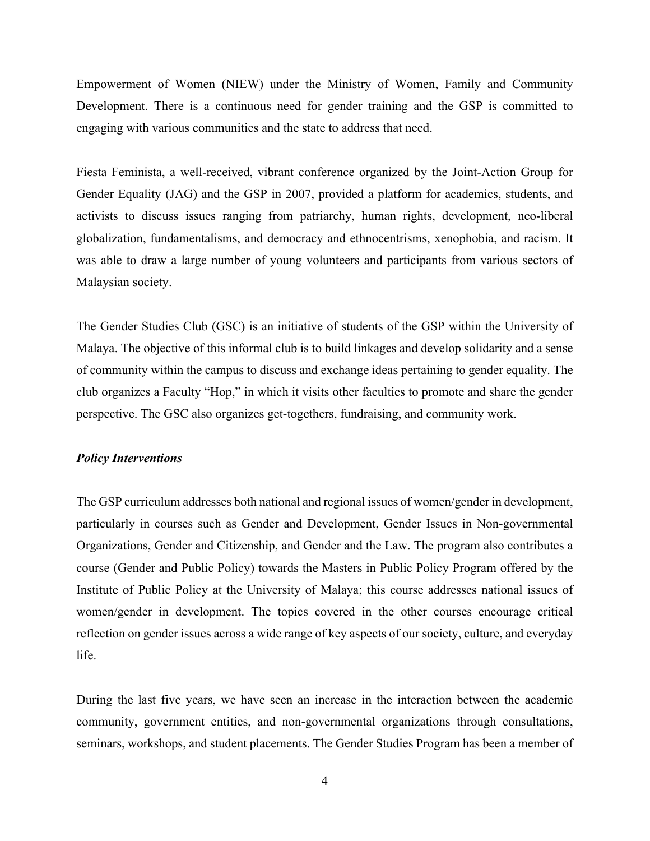Empowerment of Women (NIEW) under the Ministry of Women, Family and Community Development. There is a continuous need for gender training and the GSP is committed to engaging with various communities and the state to address that need.

Fiesta Feminista, a well-received, vibrant conference organized by the Joint-Action Group for Gender Equality (JAG) and the GSP in 2007, provided a platform for academics, students, and activists to discuss issues ranging from patriarchy, human rights, development, neo-liberal globalization, fundamentalisms, and democracy and ethnocentrisms, xenophobia, and racism. It was able to draw a large number of young volunteers and participants from various sectors of Malaysian society.

The Gender Studies Club (GSC) is an initiative of students of the GSP within the University of Malaya. The objective of this informal club is to build linkages and develop solidarity and a sense of community within the campus to discuss and exchange ideas pertaining to gender equality. The club organizes a Faculty "Hop," in which it visits other faculties to promote and share the gender perspective. The GSC also organizes get-togethers, fundraising, and community work.

## *Policy Interventions*

The GSP curriculum addresses both national and regional issues of women/gender in development, particularly in courses such as Gender and Development, Gender Issues in Non-governmental Organizations, Gender and Citizenship, and Gender and the Law. The program also contributes a course (Gender and Public Policy) towards the Masters in Public Policy Program offered by the Institute of Public Policy at the University of Malaya; this course addresses national issues of women/gender in development. The topics covered in the other courses encourage critical reflection on gender issues across a wide range of key aspects of our society, culture, and everyday life.

During the last five years, we have seen an increase in the interaction between the academic community, government entities, and non-governmental organizations through consultations, seminars, workshops, and student placements. The Gender Studies Program has been a member of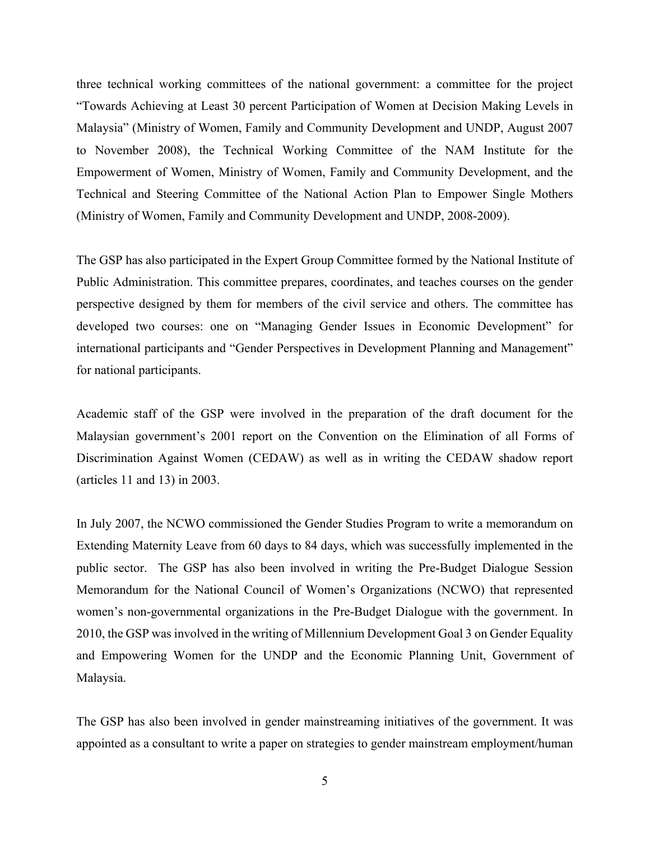three technical working committees of the national government: a committee for the project "Towards Achieving at Least 30 percent Participation of Women at Decision Making Levels in Malaysia" (Ministry of Women, Family and Community Development and UNDP, August 2007 to November 2008), the Technical Working Committee of the NAM Institute for the Empowerment of Women, Ministry of Women, Family and Community Development, and the Technical and Steering Committee of the National Action Plan to Empower Single Mothers (Ministry of Women, Family and Community Development and UNDP, 2008-2009).

The GSP has also participated in the Expert Group Committee formed by the National Institute of Public Administration. This committee prepares, coordinates, and teaches courses on the gender perspective designed by them for members of the civil service and others. The committee has developed two courses: one on "Managing Gender Issues in Economic Development" for international participants and "Gender Perspectives in Development Planning and Management" for national participants.

Academic staff of the GSP were involved in the preparation of the draft document for the Malaysian government's 2001 report on the Convention on the Elimination of all Forms of Discrimination Against Women (CEDAW) as well as in writing the CEDAW shadow report (articles 11 and 13) in 2003.

In July 2007, the NCWO commissioned the Gender Studies Program to write a memorandum on Extending Maternity Leave from 60 days to 84 days, which was successfully implemented in the public sector. The GSP has also been involved in writing the Pre-Budget Dialogue Session Memorandum for the National Council of Women's Organizations (NCWO) that represented women's non-governmental organizations in the Pre-Budget Dialogue with the government. In 2010, the GSP was involved in the writing of Millennium Development Goal 3 on Gender Equality and Empowering Women for the UNDP and the Economic Planning Unit, Government of Malaysia.

The GSP has also been involved in gender mainstreaming initiatives of the government. It was appointed as a consultant to write a paper on strategies to gender mainstream employment/human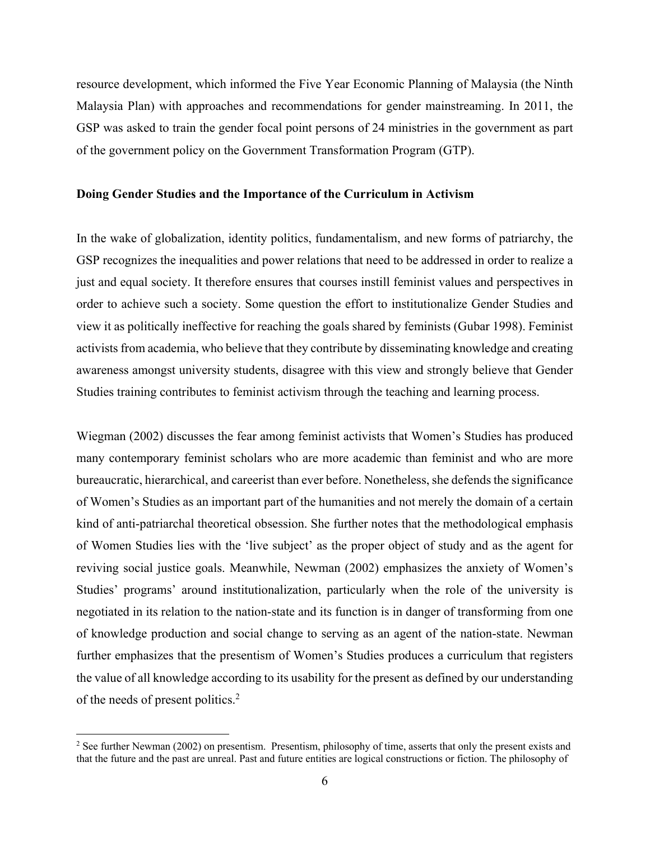resource development, which informed the Five Year Economic Planning of Malaysia (the Ninth Malaysia Plan) with approaches and recommendations for gender mainstreaming. In 2011, the GSP was asked to train the gender focal point persons of 24 ministries in the government as part of the government policy on the Government Transformation Program (GTP).

## **Doing Gender Studies and the Importance of the Curriculum in Activism**

In the wake of globalization, identity politics, fundamentalism, and new forms of patriarchy, the GSP recognizes the inequalities and power relations that need to be addressed in order to realize a just and equal society. It therefore ensures that courses instill feminist values and perspectives in order to achieve such a society. Some question the effort to institutionalize Gender Studies and view it as politically ineffective for reaching the goals shared by feminists (Gubar 1998). Feminist activists from academia, who believe that they contribute by disseminating knowledge and creating awareness amongst university students, disagree with this view and strongly believe that Gender Studies training contributes to feminist activism through the teaching and learning process.

Wiegman (2002) discusses the fear among feminist activists that Women's Studies has produced many contemporary feminist scholars who are more academic than feminist and who are more bureaucratic, hierarchical, and careerist than ever before. Nonetheless, she defends the significance of Women's Studies as an important part of the humanities and not merely the domain of a certain kind of anti-patriarchal theoretical obsession. She further notes that the methodological emphasis of Women Studies lies with the 'live subject' as the proper object of study and as the agent for reviving social justice goals. Meanwhile, Newman (2002) emphasizes the anxiety of Women's Studies' programs' around institutionalization, particularly when the role of the university is negotiated in its relation to the nation-state and its function is in danger of transforming from one of knowledge production and social change to serving as an agent of the nation-state. Newman further emphasizes that the presentism of Women's Studies produces a curriculum that registers the value of all knowledge according to its usability for the present as defined by our understanding of the needs of present politics.2

<sup>&</sup>lt;sup>2</sup> See further Newman (2002) on presentism. Presentism, philosophy of time, asserts that only the present exists and that the future and the past are unreal. Past and future entities are logical constructions or fiction. The philosophy of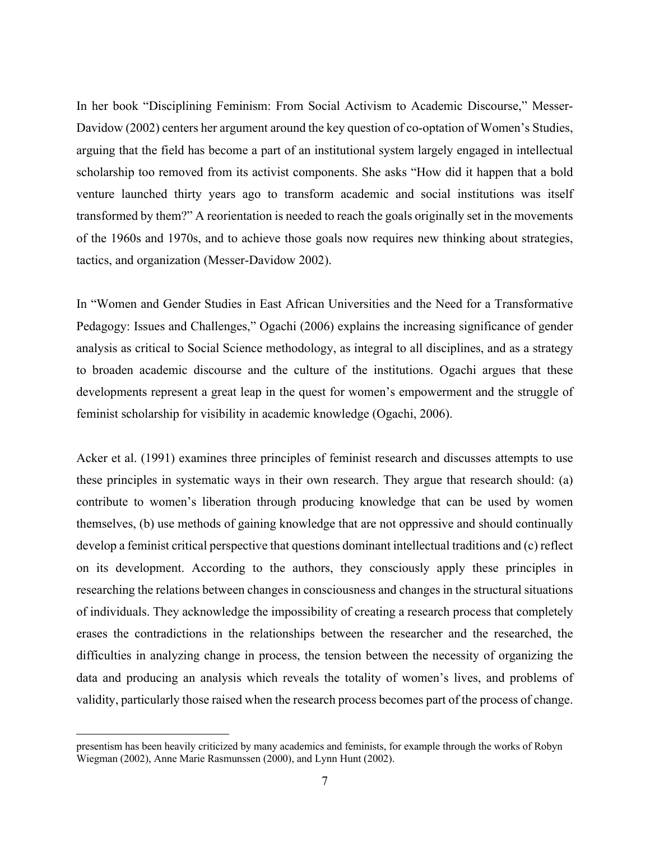In her book "Disciplining Feminism: From Social Activism to Academic Discourse," Messer-Davidow (2002) centers her argument around the key question of co-optation of Women's Studies, arguing that the field has become a part of an institutional system largely engaged in intellectual scholarship too removed from its activist components. She asks "How did it happen that a bold venture launched thirty years ago to transform academic and social institutions was itself transformed by them?" A reorientation is needed to reach the goals originally set in the movements of the 1960s and 1970s, and to achieve those goals now requires new thinking about strategies, tactics, and organization (Messer-Davidow 2002).

In "Women and Gender Studies in East African Universities and the Need for a Transformative Pedagogy: Issues and Challenges," Ogachi (2006) explains the increasing significance of gender analysis as critical to Social Science methodology, as integral to all disciplines, and as a strategy to broaden academic discourse and the culture of the institutions. Ogachi argues that these developments represent a great leap in the quest for women's empowerment and the struggle of feminist scholarship for visibility in academic knowledge (Ogachi, 2006).

Acker et al. (1991) examines three principles of feminist research and discusses attempts to use these principles in systematic ways in their own research. They argue that research should: (a) contribute to women's liberation through producing knowledge that can be used by women themselves, (b) use methods of gaining knowledge that are not oppressive and should continually develop a feminist critical perspective that questions dominant intellectual traditions and (c) reflect on its development. According to the authors, they consciously apply these principles in researching the relations between changes in consciousness and changes in the structural situations of individuals. They acknowledge the impossibility of creating a research process that completely erases the contradictions in the relationships between the researcher and the researched, the difficulties in analyzing change in process, the tension between the necessity of organizing the data and producing an analysis which reveals the totality of women's lives, and problems of validity, particularly those raised when the research process becomes part of the process of change.

presentism has been heavily criticized by many academics and feminists, for example through the works of Robyn Wiegman (2002), Anne Marie Rasmunssen (2000), and Lynn Hunt (2002).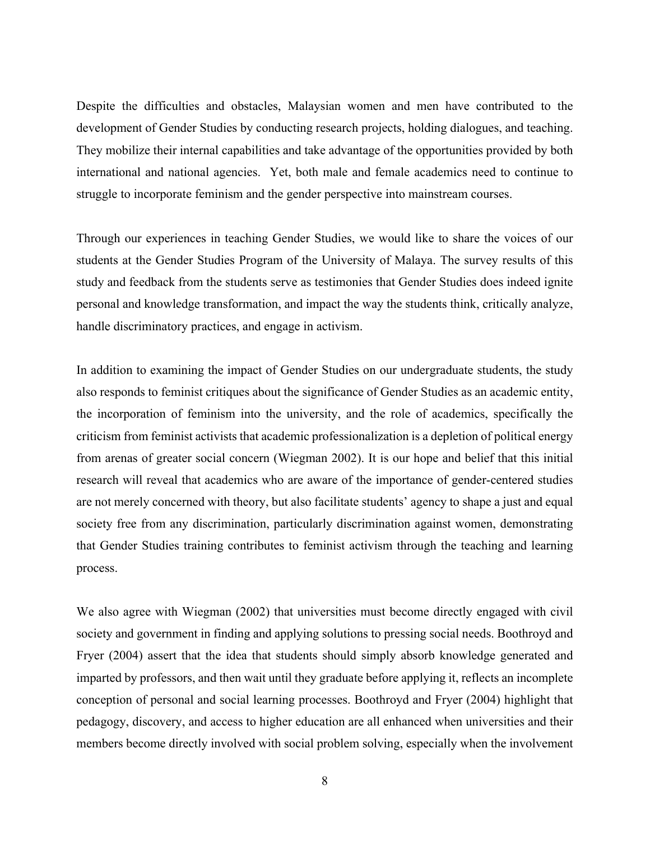Despite the difficulties and obstacles, Malaysian women and men have contributed to the development of Gender Studies by conducting research projects, holding dialogues, and teaching. They mobilize their internal capabilities and take advantage of the opportunities provided by both international and national agencies. Yet, both male and female academics need to continue to struggle to incorporate feminism and the gender perspective into mainstream courses.

Through our experiences in teaching Gender Studies, we would like to share the voices of our students at the Gender Studies Program of the University of Malaya. The survey results of this study and feedback from the students serve as testimonies that Gender Studies does indeed ignite personal and knowledge transformation, and impact the way the students think, critically analyze, handle discriminatory practices, and engage in activism.

In addition to examining the impact of Gender Studies on our undergraduate students, the study also responds to feminist critiques about the significance of Gender Studies as an academic entity, the incorporation of feminism into the university, and the role of academics, specifically the criticism from feminist activists that academic professionalization is a depletion of political energy from arenas of greater social concern (Wiegman 2002). It is our hope and belief that this initial research will reveal that academics who are aware of the importance of gender-centered studies are not merely concerned with theory, but also facilitate students' agency to shape a just and equal society free from any discrimination, particularly discrimination against women, demonstrating that Gender Studies training contributes to feminist activism through the teaching and learning process.

We also agree with Wiegman (2002) that universities must become directly engaged with civil society and government in finding and applying solutions to pressing social needs. Boothroyd and Fryer (2004) assert that the idea that students should simply absorb knowledge generated and imparted by professors, and then wait until they graduate before applying it, reflects an incomplete conception of personal and social learning processes. Boothroyd and Fryer (2004) highlight that pedagogy, discovery, and access to higher education are all enhanced when universities and their members become directly involved with social problem solving, especially when the involvement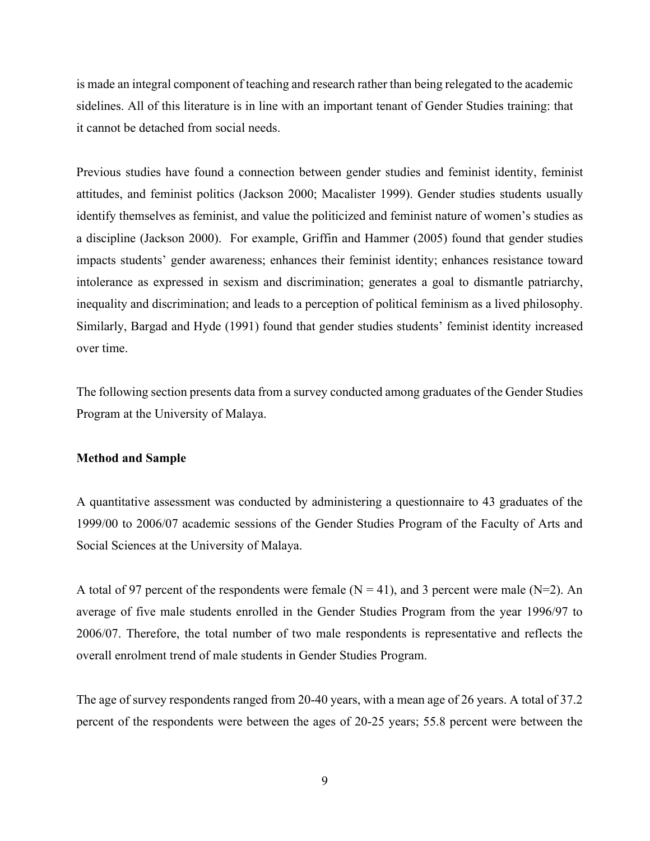is made an integral component of teaching and research rather than being relegated to the academic sidelines. All of this literature is in line with an important tenant of Gender Studies training: that it cannot be detached from social needs.

Previous studies have found a connection between gender studies and feminist identity, feminist attitudes, and feminist politics (Jackson 2000; Macalister 1999). Gender studies students usually identify themselves as feminist, and value the politicized and feminist nature of women's studies as a discipline (Jackson 2000). For example, Griffin and Hammer (2005) found that gender studies impacts students' gender awareness; enhances their feminist identity; enhances resistance toward intolerance as expressed in sexism and discrimination; generates a goal to dismantle patriarchy, inequality and discrimination; and leads to a perception of political feminism as a lived philosophy. Similarly, Bargad and Hyde (1991) found that gender studies students' feminist identity increased over time.

The following section presents data from a survey conducted among graduates of the Gender Studies Program at the University of Malaya.

# **Method and Sample**

A quantitative assessment was conducted by administering a questionnaire to 43 graduates of the 1999/00 to 2006/07 academic sessions of the Gender Studies Program of the Faculty of Arts and Social Sciences at the University of Malaya.

A total of 97 percent of the respondents were female  $(N = 41)$ , and 3 percent were male  $(N = 2)$ . An average of five male students enrolled in the Gender Studies Program from the year 1996/97 to 2006/07. Therefore, the total number of two male respondents is representative and reflects the overall enrolment trend of male students in Gender Studies Program.

The age of survey respondents ranged from 20-40 years, with a mean age of 26 years. A total of 37.2 percent of the respondents were between the ages of 20-25 years; 55.8 percent were between the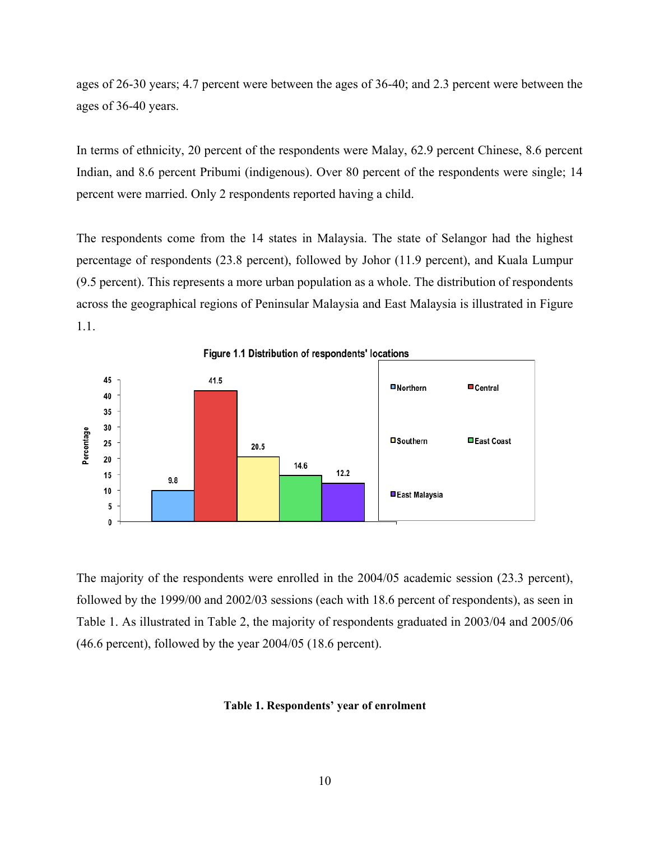ages of 26-30 years; 4.7 percent were between the ages of 36-40; and 2.3 percent were between the ages of 36-40 years.

In terms of ethnicity, 20 percent of the respondents were Malay, 62.9 percent Chinese, 8.6 percent Indian, and 8.6 percent Pribumi (indigenous). Over 80 percent of the respondents were single; 14 percent were married. Only 2 respondents reported having a child.

The respondents come from the 14 states in Malaysia. The state of Selangor had the highest percentage of respondents (23.8 percent), followed by Johor (11.9 percent), and Kuala Lumpur (9.5 percent). This represents a more urban population as a whole. The distribution of respondents across the geographical regions of Peninsular Malaysia and East Malaysia is illustrated in Figure 1.1.



Figure 1.1 Distribution of respondents' locations

The majority of the respondents were enrolled in the 2004/05 academic session (23.3 percent), followed by the 1999/00 and 2002/03 sessions (each with 18.6 percent of respondents), as seen in Table 1. As illustrated in Table 2, the majority of respondents graduated in 2003/04 and 2005/06 (46.6 percent), followed by the year 2004/05 (18.6 percent).

### **Table 1. Respondents' year of enrolment**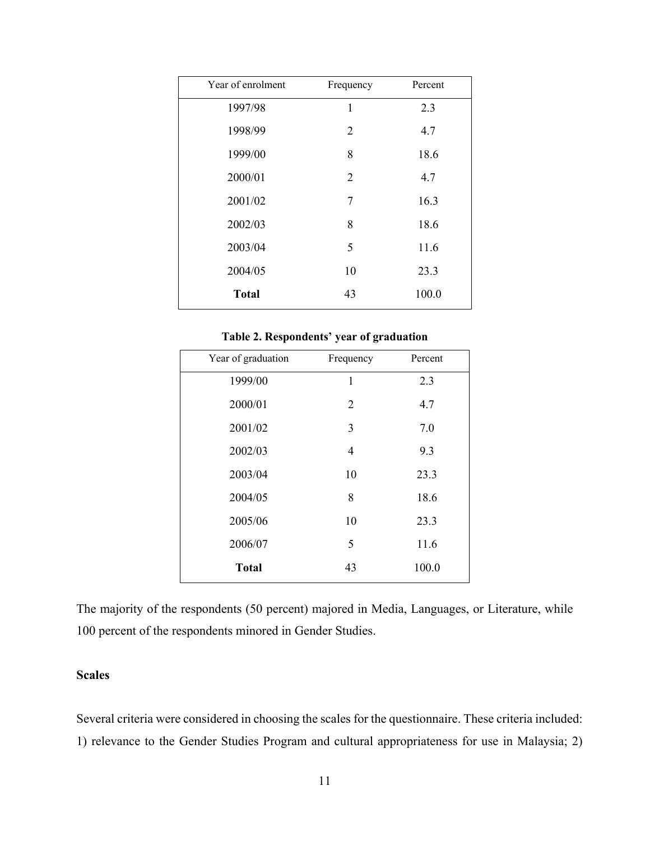| Year of enrolment | Frequency      | Percent |
|-------------------|----------------|---------|
| 1997/98           | $\mathbf{1}$   | 2.3     |
| 1998/99           | $\overline{2}$ | 4.7     |
| 1999/00           | 8              | 18.6    |
| 2000/01           | $\overline{2}$ | 4.7     |
| 2001/02           | 7              | 16.3    |
| 2002/03           | 8              | 18.6    |
| 2003/04           | 5              | 11.6    |
| 2004/05           | 10             | 23.3    |
| <b>Total</b>      | 43             | 100.0   |

### **Table 2. Respondents' year of graduation**

| Year of graduation | Frequency   | Percent |
|--------------------|-------------|---------|
| 1999/00            | $\mathbf 1$ | 2.3     |
| 2000/01            | 2           | 4.7     |
| 2001/02            | 3           | 7.0     |
| 2002/03            | 4           | 9.3     |
| 2003/04            | 10          | 23.3    |
| 2004/05            | 8           | 18.6    |
| 2005/06            | 10          | 23.3    |
| 2006/07            | 5           | 11.6    |
| <b>Total</b>       | 43          | 100.0   |

The majority of the respondents (50 percent) majored in Media, Languages, or Literature, while 100 percent of the respondents minored in Gender Studies.

# **Scales**

Several criteria were considered in choosing the scales for the questionnaire. These criteria included: 1) relevance to the Gender Studies Program and cultural appropriateness for use in Malaysia; 2)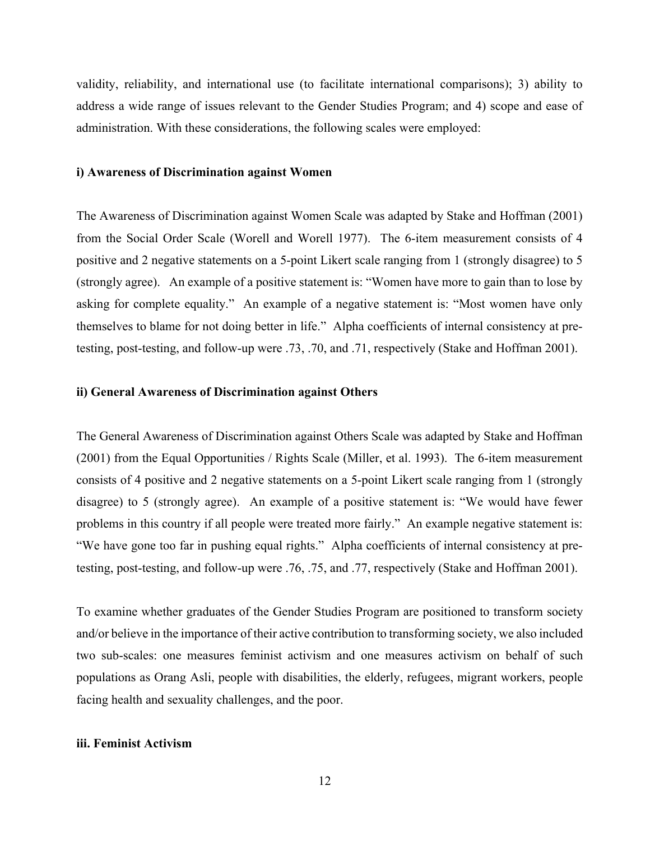validity, reliability, and international use (to facilitate international comparisons); 3) ability to address a wide range of issues relevant to the Gender Studies Program; and 4) scope and ease of administration. With these considerations, the following scales were employed:

### **i) Awareness of Discrimination against Women**

The Awareness of Discrimination against Women Scale was adapted by Stake and Hoffman (2001) from the Social Order Scale (Worell and Worell 1977). The 6-item measurement consists of 4 positive and 2 negative statements on a 5-point Likert scale ranging from 1 (strongly disagree) to 5 (strongly agree). An example of a positive statement is: "Women have more to gain than to lose by asking for complete equality." An example of a negative statement is: "Most women have only themselves to blame for not doing better in life." Alpha coefficients of internal consistency at pretesting, post-testing, and follow-up were .73, .70, and .71, respectively (Stake and Hoffman 2001).

### **ii) General Awareness of Discrimination against Others**

The General Awareness of Discrimination against Others Scale was adapted by Stake and Hoffman (2001) from the Equal Opportunities / Rights Scale (Miller, et al. 1993). The 6-item measurement consists of 4 positive and 2 negative statements on a 5-point Likert scale ranging from 1 (strongly disagree) to 5 (strongly agree). An example of a positive statement is: "We would have fewer problems in this country if all people were treated more fairly." An example negative statement is: "We have gone too far in pushing equal rights." Alpha coefficients of internal consistency at pretesting, post-testing, and follow-up were .76, .75, and .77, respectively (Stake and Hoffman 2001).

To examine whether graduates of the Gender Studies Program are positioned to transform society and/or believe in the importance of their active contribution to transforming society, we also included two sub-scales: one measures feminist activism and one measures activism on behalf of such populations as Orang Asli, people with disabilities, the elderly, refugees, migrant workers, people facing health and sexuality challenges, and the poor.

### **iii. Feminist Activism**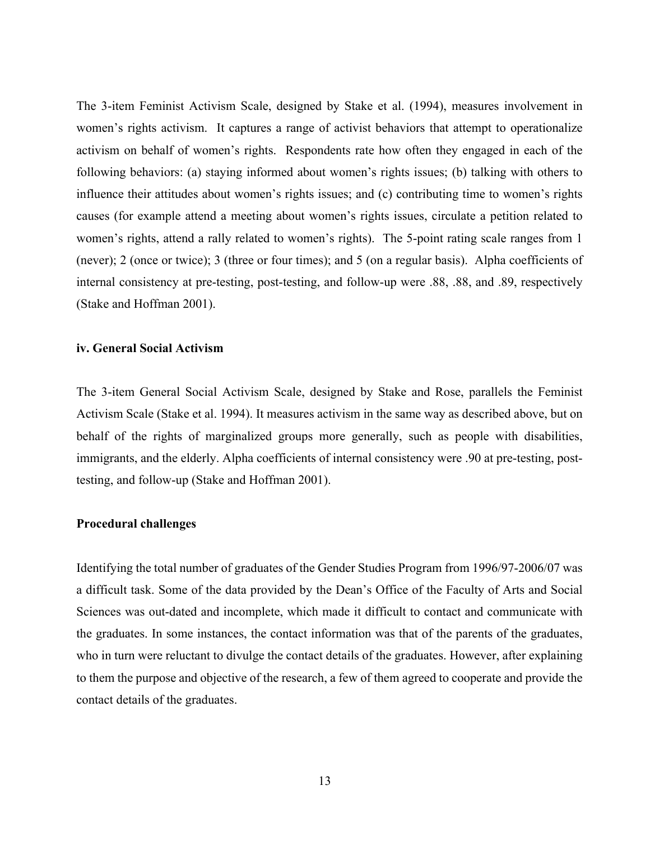The 3-item Feminist Activism Scale, designed by Stake et al. (1994), measures involvement in women's rights activism. It captures a range of activist behaviors that attempt to operationalize activism on behalf of women's rights. Respondents rate how often they engaged in each of the following behaviors: (a) staying informed about women's rights issues; (b) talking with others to influence their attitudes about women's rights issues; and (c) contributing time to women's rights causes (for example attend a meeting about women's rights issues, circulate a petition related to women's rights, attend a rally related to women's rights). The 5-point rating scale ranges from 1 (never); 2 (once or twice); 3 (three or four times); and 5 (on a regular basis). Alpha coefficients of internal consistency at pre-testing, post-testing, and follow-up were .88, .88, and .89, respectively (Stake and Hoffman 2001).

## **iv. General Social Activism**

The 3-item General Social Activism Scale, designed by Stake and Rose, parallels the Feminist Activism Scale (Stake et al. 1994). It measures activism in the same way as described above, but on behalf of the rights of marginalized groups more generally, such as people with disabilities, immigrants, and the elderly. Alpha coefficients of internal consistency were .90 at pre-testing, posttesting, and follow-up (Stake and Hoffman 2001).

### **Procedural challenges**

Identifying the total number of graduates of the Gender Studies Program from 1996/97-2006/07 was a difficult task. Some of the data provided by the Dean's Office of the Faculty of Arts and Social Sciences was out-dated and incomplete, which made it difficult to contact and communicate with the graduates. In some instances, the contact information was that of the parents of the graduates, who in turn were reluctant to divulge the contact details of the graduates. However, after explaining to them the purpose and objective of the research, a few of them agreed to cooperate and provide the contact details of the graduates.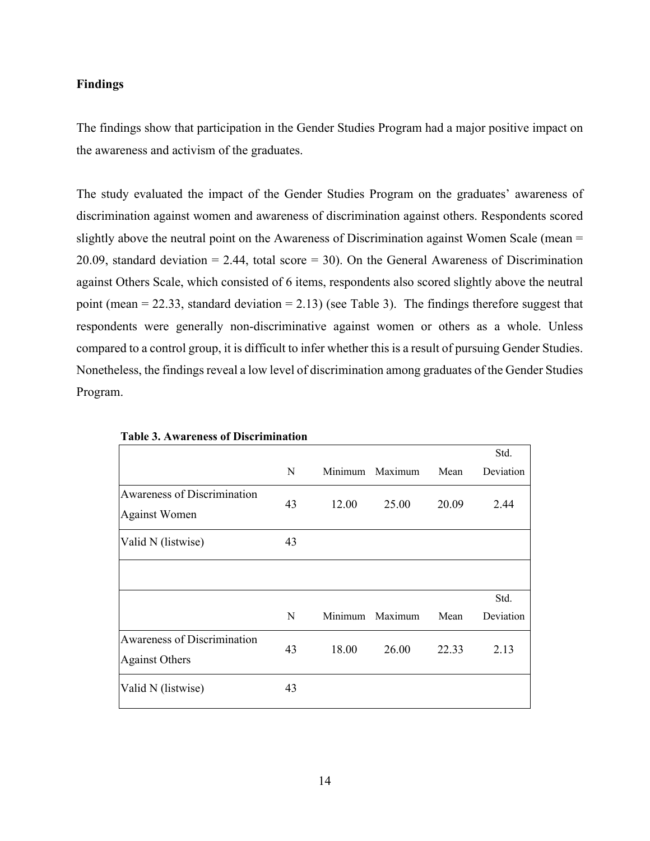# **Findings**

The findings show that participation in the Gender Studies Program had a major positive impact on the awareness and activism of the graduates.

The study evaluated the impact of the Gender Studies Program on the graduates' awareness of discrimination against women and awareness of discrimination against others. Respondents scored slightly above the neutral point on the Awareness of Discrimination against Women Scale (mean = 20.09, standard deviation  $= 2.44$ , total score  $= 30$ ). On the General Awareness of Discrimination against Others Scale, which consisted of 6 items, respondents also scored slightly above the neutral point (mean  $= 22.33$ , standard deviation  $= 2.13$ ) (see Table 3). The findings therefore suggest that respondents were generally non-discriminative against women or others as a whole. Unless compared to a control group, it is difficult to infer whether this is a result of pursuing Gender Studies. Nonetheless, the findings reveal a low level of discrimination among graduates of the Gender Studies Program.

|                                                             |    |         |         |       | Std.      |
|-------------------------------------------------------------|----|---------|---------|-------|-----------|
|                                                             | N  | Minimum | Maximum | Mean  | Deviation |
| <b>Awareness of Discrimination</b><br><b>Against Women</b>  | 43 | 12.00   | 25.00   | 20.09 | 2.44      |
| Valid N (listwise)                                          | 43 |         |         |       |           |
|                                                             |    |         |         |       |           |
|                                                             |    |         |         |       | Std.      |
|                                                             | N  | Minimum | Maximum | Mean  | Deviation |
| <b>Awareness of Discrimination</b><br><b>Against Others</b> | 43 | 18.00   | 26.00   | 22.33 | 2.13      |
| Valid N (listwise)                                          | 43 |         |         |       |           |

| <b>Table 3. Awareness of Discrimination</b> |  |
|---------------------------------------------|--|
|---------------------------------------------|--|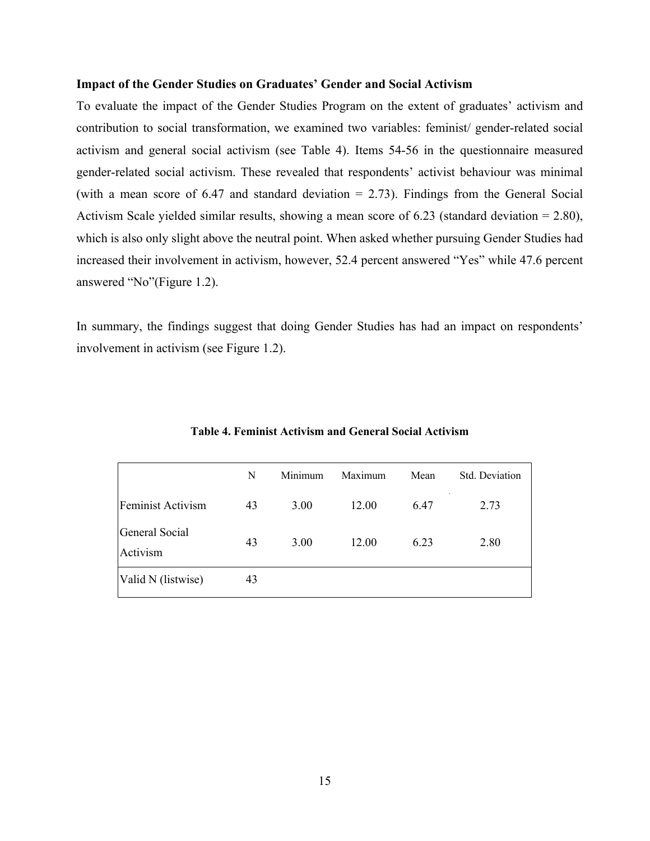### **Impact of the Gender Studies on Graduates' Gender and Social Activism**

To evaluate the impact of the Gender Studies Program on the extent of graduates' activism and contribution to social transformation, we examined two variables: feminist/ gender-related social activism and general social activism (see Table 4). Items 54-56 in the questionnaire measured gender-related social activism. These revealed that respondents' activist behaviour was minimal (with a mean score of  $6.47$  and standard deviation  $= 2.73$ ). Findings from the General Social Activism Scale yielded similar results, showing a mean score of 6.23 (standard deviation = 2.80), which is also only slight above the neutral point. When asked whether pursuing Gender Studies had increased their involvement in activism, however, 52.4 percent answered "Yes" while 47.6 percent answered "No"(Figure 1.2).

In summary, the findings suggest that doing Gender Studies has had an impact on respondents' involvement in activism (see Figure 1.2).

|                            | N  | Minimum | Maximum | Mean | Std. Deviation |
|----------------------------|----|---------|---------|------|----------------|
| Feminist Activism          | 43 | 3.00    | 12.00   | 6.47 | 2.73           |
| General Social<br>Activism | 43 | 3.00    | 12.00   | 6.23 | 2.80           |
| Valid N (listwise)         | 43 |         |         |      |                |

**Table 4. Feminist Activism and General Social Activism**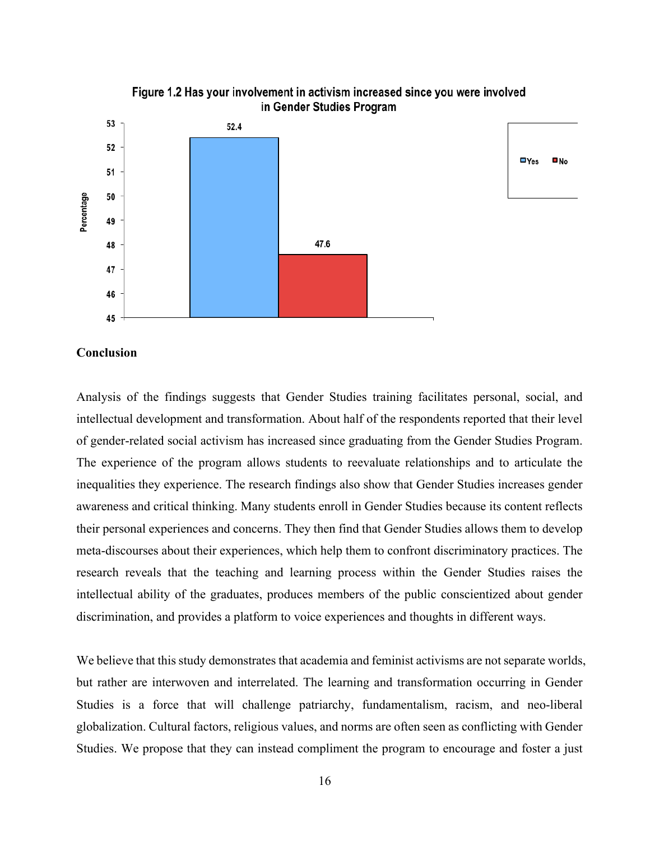

 $\n **N**o$ 

#### **Conclusion**

Analysis of the findings suggests that Gender Studies training facilitates personal, social, and intellectual development and transformation. About half of the respondents reported that their level of gender-related social activism has increased since graduating from the Gender Studies Program. The experience of the program allows students to reevaluate relationships and to articulate the inequalities they experience. The research findings also show that Gender Studies increases gender awareness and critical thinking. Many students enroll in Gender Studies because its content reflects their personal experiences and concerns. They then find that Gender Studies allows them to develop meta-discourses about their experiences, which help them to confront discriminatory practices. The research reveals that the teaching and learning process within the Gender Studies raises the intellectual ability of the graduates, produces members of the public conscientized about gender discrimination, and provides a platform to voice experiences and thoughts in different ways.

We believe that this study demonstrates that academia and feminist activisms are not separate worlds, but rather are interwoven and interrelated. The learning and transformation occurring in Gender Studies is a force that will challenge patriarchy, fundamentalism, racism, and neo-liberal globalization. Cultural factors, religious values, and norms are often seen as conflicting with Gender Studies. We propose that they can instead compliment the program to encourage and foster a just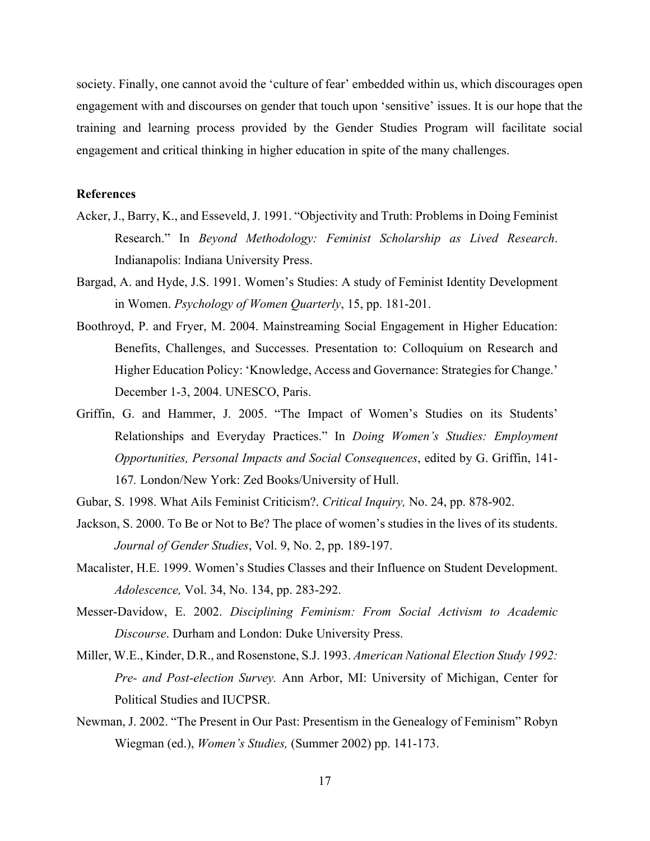society. Finally, one cannot avoid the 'culture of fear' embedded within us, which discourages open engagement with and discourses on gender that touch upon 'sensitive' issues. It is our hope that the training and learning process provided by the Gender Studies Program will facilitate social engagement and critical thinking in higher education in spite of the many challenges.

# **References**

- Acker, J., Barry, K., and Esseveld, J. 1991. "Objectivity and Truth: Problems in Doing Feminist Research." In *Beyond Methodology: Feminist Scholarship as Lived Research*. Indianapolis: Indiana University Press.
- Bargad, A. and Hyde, J.S. 1991. Women's Studies: A study of Feminist Identity Development in Women. *Psychology of Women Quarterly*, 15, pp. 181-201.
- Boothroyd, P. and Fryer, M. 2004. Mainstreaming Social Engagement in Higher Education: Benefits, Challenges, and Successes. Presentation to: Colloquium on Research and Higher Education Policy: 'Knowledge, Access and Governance: Strategies for Change.' December 1-3, 2004. UNESCO, Paris.
- Griffin, G. and Hammer, J. 2005. "The Impact of Women's Studies on its Students' Relationships and Everyday Practices." In *Doing Women's Studies: Employment Opportunities, Personal Impacts and Social Consequences*, edited by G. Griffin, 141- 167*.* London/New York: Zed Books/University of Hull.
- Gubar, S. 1998. What Ails Feminist Criticism?. *Critical Inquiry,* No. 24, pp. 878-902.
- Jackson, S. 2000. To Be or Not to Be? The place of women's studies in the lives of its students. *Journal of Gender Studies*, Vol. 9, No. 2, pp. 189-197.
- Macalister, H.E. 1999. Women's Studies Classes and their Influence on Student Development. *Adolescence,* Vol. 34, No. 134, pp. 283-292.
- Messer-Davidow, E. 2002. *Disciplining Feminism: From Social Activism to Academic Discourse*. Durham and London: Duke University Press.
- Miller, W.E., Kinder, D.R., and Rosenstone, S.J. 1993. *American National Election Study 1992: Pre- and Post-election Survey.* Ann Arbor, MI: University of Michigan, Center for Political Studies and IUCPSR.
- Newman, J. 2002. "The Present in Our Past: Presentism in the Genealogy of Feminism" Robyn Wiegman (ed.), *Women's Studies,* (Summer 2002) pp. 141-173.